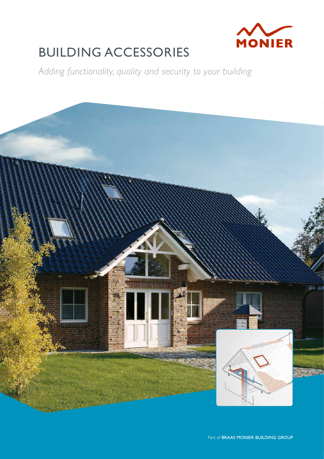

# BUILDING ACCESSORIES

*Adding functionality, quality and security to your building*

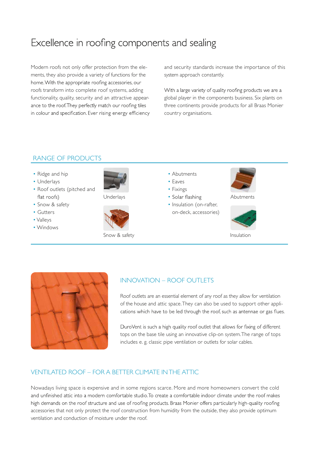# Excellence in roofing components and sealing

Modern roofs not only offer protection from the elements, they also provide a variety of functions for the home. With the appropriate roofing accessories, our roofs transform into complete roof systems, adding functionality, quality, security and an attractive appearance to the roof. They perfectly match our roofing tiles in colour and specification. Ever rising energy efficiency and security standards increase the importance of this system approach constantly.

With a large variety of quality roofing products we are a global player in the components business. Six plants on three continents provide products for all Braas Monier country organisations.

# RANGE OF PRODUCTS

- Ridge and hip
- Underlays
- Roof outlets (pitched and flat roofs)
- Snow & safety
- Gutters
- Valleys
- Windows





Snow & safety **Insulation** 

- Abutments
- Eaves
- Fixings
- Underlays **•** Solar flashing **Abutments** 
	- Insulation (on-rafter, on-deck, accessories)







#### INNOVATION – ROOF OUTLETS

Roof outlets are an essential element of any roof as they allow for ventilation of the house and attic space.They can also be used to support other applications which have to be led through the roof, such as antennae or gas flues.

DuroVent is such a high quality roof outlet that allows for fixing of different tops on the base tile using an innovative clip-on system.The range of tops includes e. g. classic pipe ventilation or outlets for solar cables.

#### VENTILATED ROOF – FOR A BETTER CLIMATE INTHE ATTIC

Nowadays living space is expensive and in some regions scarce. More and more homeowners convert the cold and unfinished attic into a modern comfortable studio. To create a comfortable indoor climate under the roof makes high demands on the roof structure and use of roofing products. Braas Monier offers particularly high-quality roofing accessories that not only protect the roof construction from humidity from the outside, they also provide optimum ventilation and conduction of moisture under the roof.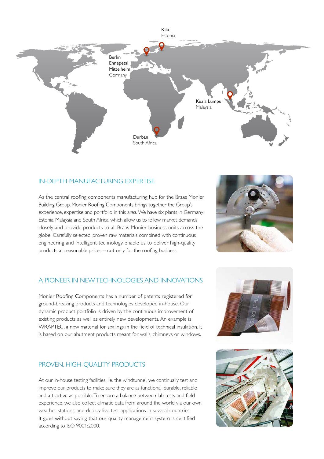

# IN-DEPTH MANUFACTURING EXPERTISE

As the central roofing components manufacturing hub for the Braas Monier Building Group, Monier Roofing Components brings together the Group's experience, expertise and portfolio in this area.We have six plants in Germany, Estonia, Malaysia and South Africa, which allow us to follow market demands closely and provide products to all Braas Monier business units across the globe. Carefully selected, proven raw materials combined with continuous engineering and intelligent technology enable us to deliver high-quality products at reasonable prices - not only for the roofing business.



# A PIONEER IN NEWTECHNOLOGIES AND INNOVATIONS

Monier Roofing Components has a number of patents registered for ground-breaking products and technologies developed in-house. Our dynamic product portfolio is driven by the continuous improvement of existing products as well as entirely new developments. An example is WRAPTEC, a new material for sealings in the field of technical insulation. It is based on our abutment products meant for walls, chimneys or windows.

#### PROVEN, HIGH-QUALITY PRODUCTS

At our in-house testing facilities, i.e. the windtunnel, we continually test and improve our products to make sure they are as functional, durable, reliable and attractive as possible. To ensure a balance between lab tests and field experience, we also collect climatic data from around the world via our own weather stations, and deploy live test applications in several countries. It goes without saying that our quality management system is certified according to ISO 9001:2000.